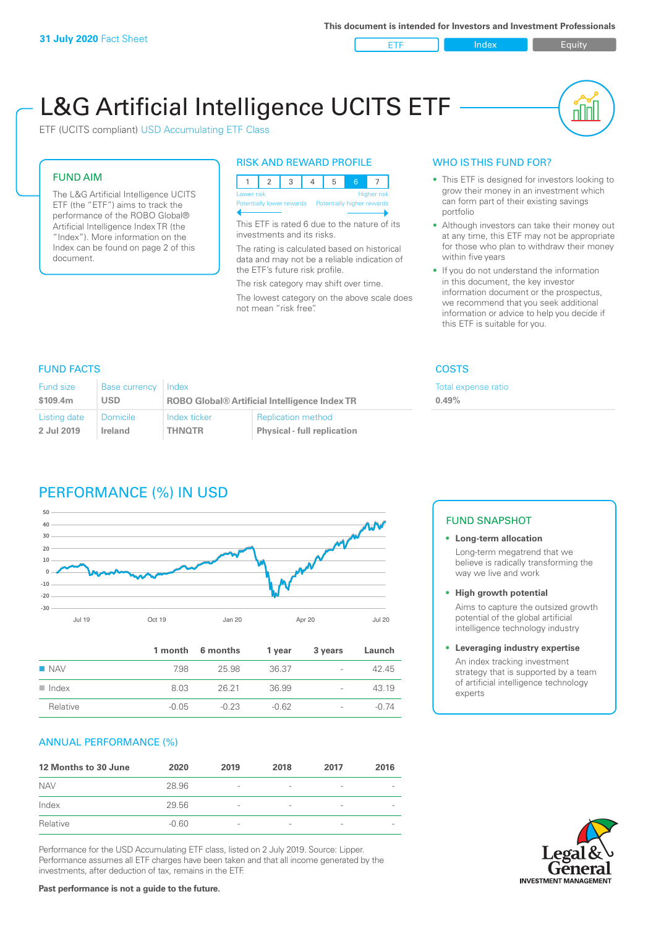ETF Index Buity

nN

# L&G Artificial Intelligence UCITS ETF

ETF (UCITS compliant) USD Accumulating ETF Class

#### FUND AIM

The L&G Artificial Intelligence UCITS ETF (the "ETF") aims to track the performance of the ROBO Global® Artificial Intelligence Index TR (the "Index"). More information on the Index can be found on page 2 of this document.

#### RISK AND REWARD PROFILE



This ETF is rated 6 due to the nature of its investments and its risks.

The rating is calculated based on historical data and may not be a reliable indication of the ETF's future risk profile.

The risk category may shift over time. The lowest category on the above scale does not mean "risk free".

#### WHO IS THIS FUND FOR?

- This ETF is designed for investors looking to grow their money in an investment which can form part of their existing savings portfolio
- Although investors can take their money out at any time, this ETF may not be appropriate for those who plan to withdraw their money within five years
- If you do not understand the information in this document, the key investor information document or the prospectus, we recommend that you seek additional information or advice to help you decide if this ETF is suitable for you.

**0.49%**

Total expense ratio

#### FUND FACTS COSTS

| Fund size    | Base currency   | Index                                                |                                    |  |
|--------------|-----------------|------------------------------------------------------|------------------------------------|--|
| \$109.4m     | <b>USD</b>      | <b>ROBO Global® Artificial Intelligence Index TR</b> |                                    |  |
| Listing date | <b>Domicile</b> | Index ticker                                         | <b>Replication method</b>          |  |
| 2 Jul 2019   | Ireland         | <b>THNOTR</b>                                        | <b>Physical - full replication</b> |  |

## PERFORMANCE (%) IN USD



|                      |         | 1 month 6 months | 1 year  | 3 years                  | Launch  |
|----------------------|---------|------------------|---------|--------------------------|---------|
| $\blacksquare$ NAV   | 7.98    | 25.98            | 36.37   | $\sim$                   | 4245    |
| $\blacksquare$ Index | 8.03    | 26.21            | 36.99   | $\overline{\phantom{a}}$ | 43.19   |
| Relative             | $-0.05$ | $-0.23$          | $-0.62$ | $\overline{\phantom{a}}$ | $-0.74$ |

#### ANNUAL PERFORMANCE (%)

| 12 Months to 30 June | 2020    | 2019                     | 2018                     | 2017                     | 2016 |
|----------------------|---------|--------------------------|--------------------------|--------------------------|------|
| <b>NAV</b>           | 28.96   | $\overline{\phantom{a}}$ |                          | ۰                        |      |
| Index                | 29.56   | $\overline{\phantom{a}}$ | $\overline{\phantom{0}}$ | $\qquad \qquad$          |      |
| Relative             | $-0.60$ | $\overline{\phantom{a}}$ |                          | $\overline{\phantom{a}}$ |      |

Performance for the USD Accumulating ETF class, listed on 2 July 2019. Source: Lipper. Performance assumes all ETF charges have been taken and that all income generated by the investments, after deduction of tax, remains in the ETF.

#### FUND SNAPSHOT

**• Long-term allocation** Long-term megatrend that we believe is radically transforming the way we live and work

- **• High growth potential** Aims to capture the outsized growth potential of the global artificial intelligence technology industry
- **• Leveraging industry expertise** An index tracking investment strategy that is supported by a team of artificial intelligence technology experts



**Past performance is not a guide to the future.**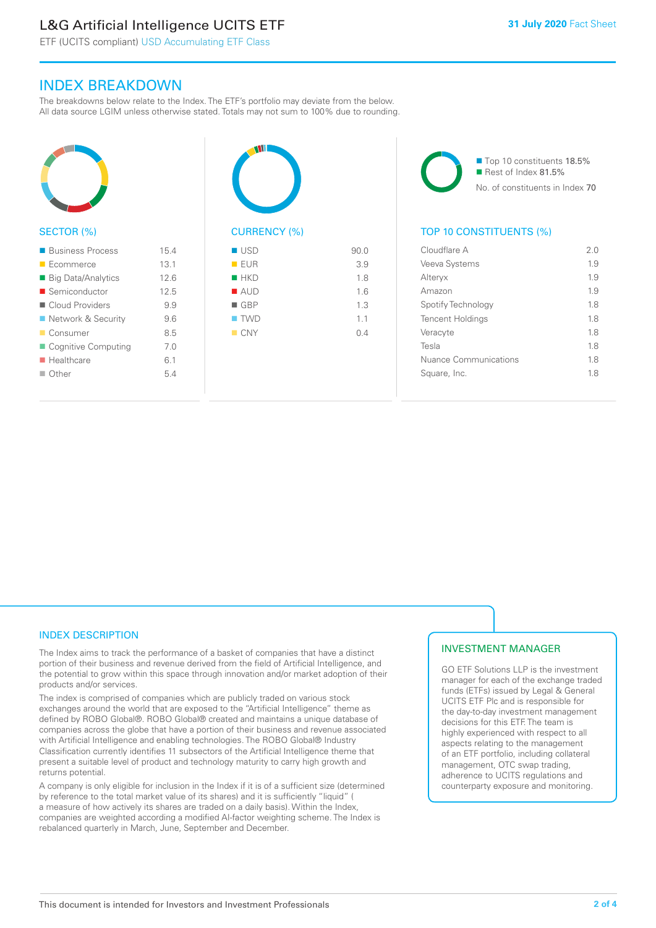# L&G Artificial Intelligence UCITS ETF

ETF (UCITS compliant) USD Accumulating ETF Class

### INDEX BREAKDOWN

The breakdowns below relate to the Index. The ETF's portfolio may deviate from the below. All data source LGIM unless otherwise stated. Totals may not sum to 100% due to rounding.



#### SECTOR (%)

| ■ Business Process        | 15.4 |
|---------------------------|------|
| $\blacksquare$ Ecommerce  | 13.1 |
| ■ Big Data/Analytics      | 12.6 |
| ■ Semiconductor           | 12.5 |
| Cloud Providers           | 9.9  |
| ■ Network & Security      | 96   |
| ■ Consumer                | 8.5  |
| ■ Cognitive Computing     | 70   |
| $\blacksquare$ Healthcare | 6.1  |
| $\Box$ Other              | 54   |
|                           |      |







#### TOP 10 CONSTITUENTS (%)

| Cloudflare A                 | 2 O |
|------------------------------|-----|
| Veeva Systems                | 1.9 |
| Alteryx                      | 19  |
| Amazon                       | 19  |
| Spotify Technology           | 18  |
| <b>Tencent Holdings</b>      | 1.8 |
| Veracyte                     | 18  |
| Tesla                        | 18  |
| <b>Nuance Communications</b> | 18  |
| Square, Inc.                 | 18  |
|                              |     |

#### INDEX DESCRIPTION

The Index aims to track the performance of a basket of companies that have a distinct portion of their business and revenue derived from the field of Artificial Intelligence, and the potential to grow within this space through innovation and/or market adoption of their products and/or services.

The index is comprised of companies which are publicly traded on various stock exchanges around the world that are exposed to the "Artificial Intelligence" theme as defined by ROBO Global®. ROBO Global® created and maintains a unique database of companies across the globe that have a portion of their business and revenue associated with Artificial Intelligence and enabling technologies. The ROBO Global® Industry Classification currently identifies 11 subsectors of the Artificial Intelligence theme that present a suitable level of product and technology maturity to carry high growth and returns potential.

A company is only eligible for inclusion in the Index if it is of a sufficient size (determined by reference to the total market value of its shares) and it is sufficiently "liquid" ( a measure of how actively its shares are traded on a daily basis). Within the Index, companies are weighted according a modified AI-factor weighting scheme. The Index is rebalanced quarterly in March, June, September and December.

#### INVESTMENT MANAGER

GO ETF Solutions LLP is the investment manager for each of the exchange traded funds (ETFs) issued by Legal & General UCITS ETF Plc and is responsible for the day-to-day investment management decisions for this ETF. The team is highly experienced with respect to all aspects relating to the management of an ETF portfolio, including collateral management, OTC swap trading, adherence to UCITS regulations and counterparty exposure and monitoring.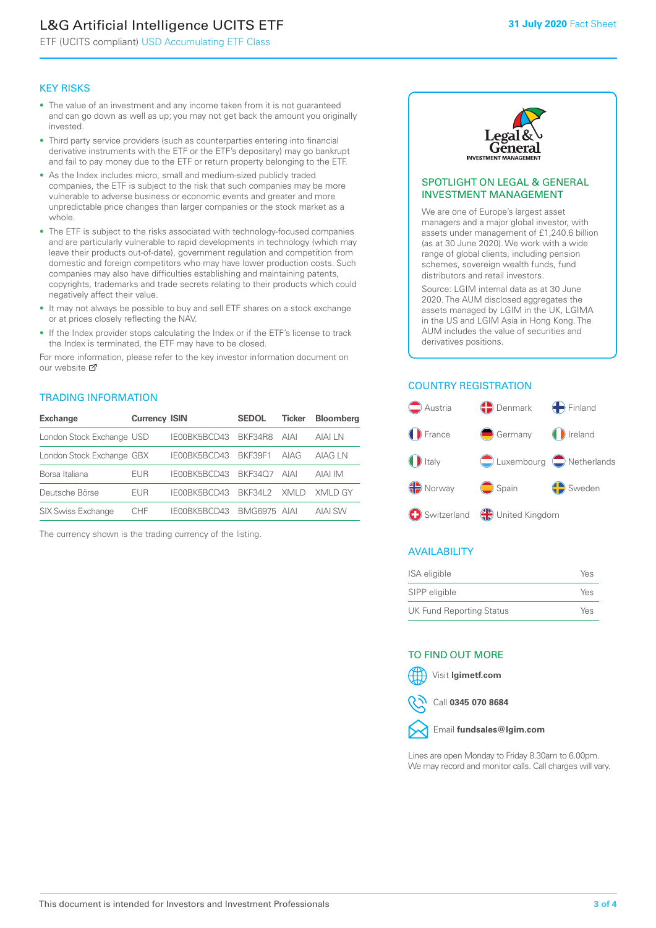# L&G Artificial Intelligence UCITS ETF

ETF (UCITS compliant) USD Accumulating ETF Class

#### KEY RISKS

- The value of an investment and any income taken from it is not guaranteed and can go down as well as up; you may not get back the amount you originally invested.
- Third party service providers (such as counterparties entering into financial derivative instruments with the ETF or the ETF's depositary) may go bankrupt and fail to pay money due to the ETF or return property belonging to the ETF.
- As the Index includes micro, small and medium-sized publicly traded companies, the ETF is subject to the risk that such companies may be more vulnerable to adverse business or economic events and greater and more unpredictable price changes than larger companies or the stock market as a whole.
- The ETF is subject to the risks associated with technology-focused companies and are particularly vulnerable to rapid developments in technology (which may leave their products out-of-date), government regulation and competition from domestic and foreign competitors who may have lower production costs. Such companies may also have difficulties establishing and maintaining patents, copyrights, trademarks and trade secrets relating to their products which could negatively affect their value.
- It may not always be possible to buy and sell ETF shares on a stock exchange or at prices closely reflecting the NAV.
- If the Index provider stops calculating the Index or if the ETF's license to track the Index is terminated, the ETF may have to be closed.

For more information, please refer to the key investor information document on our website Ø

#### TRADING INFORMATION

| <b>Exchange</b>           | <b>Currency ISIN</b> |              | <b>SEDOL</b> | Ticker | <b>Bloomberg</b> |
|---------------------------|----------------------|--------------|--------------|--------|------------------|
| London Stock Exchange USD |                      | IE00BK5BCD43 | BKF34R8      | AIAI   | AIAI I N         |
| London Stock Exchange GBX |                      | IE00BK5BCD43 | BKF39F1      | AIAG   | AIAG LN          |
| Borsa Italiana            | EUR                  | IE00BK5BCD43 | BKF3407      | AIAI   | AIAI IM          |
| Deutsche Börse            | EUR                  | IE00BK5BCD43 | BKF34L2      | XMI D  | XMI D GY         |
| <b>SIX Swiss Exchange</b> | CHE                  | IE00BK5BCD43 | BMG6975 AIAI |        | <b>AIAI SW</b>   |

The currency shown is the trading currency of the listing.



#### SPOTLIGHT ON LEGAL & GENERAL INVESTMENT MANAGEMENT

We are one of Europe's largest asset managers and a major global investor, with assets under management of £1,240.6 billion (as at 30 June 2020). We work with a wide range of global clients, including pension schemes, sovereign wealth funds, fund distributors and retail investors.

Source: LGIM internal data as at 30 June 2020. The AUM disclosed aggregates the assets managed by LGIM in the UK, LGIMA in the US and LGIM Asia in Hong Kong. The AUM includes the value of securities and derivatives positions.

#### COUNTRY REGISTRATION



#### AVAILABILITY

| ISA eligible                    | Yes |
|---------------------------------|-----|
| SIPP eligible                   | Yes |
| <b>UK Fund Reporting Status</b> | Yes |

#### TO FIND OUT MORE



Call **0345 070 8684**



Lines are open Monday to Friday 8.30am to 6.00pm. We may record and monitor calls. Call charges will vary.